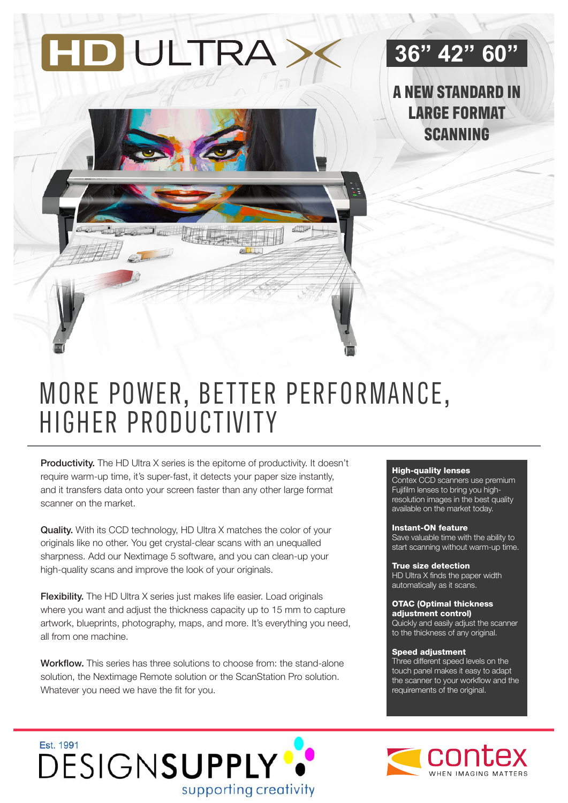

### **36" 42" 60"**

**A NEW STANDARD IN LARGE FORMAT SCANNING** 

## MORE POWER, BETTER PERFORMANCE, HIGHER PRODUCTIVITY

Productivity. The HD Ultra X series is the epitome of productivity. It doesn't require warm-up time, it's super-fast, it detects your paper size instantly, and it transfers data onto your screen faster than any other large format scanner on the market.

Quality. With its CCD technology, HD Ultra X matches the color of your originals like no other. You get crystal-clear scans with an unequalled sharpness. Add our Nextimage 5 software, and you can clean-up your high-quality scans and improve the look of your originals.

**Flexibility.** The HD Ultra X series just makes life easier. Load originals where you want and adjust the thickness capacity up to 15 mm to capture artwork, blueprints, photography, maps, and more. It's everything you need, all from one machine.

Workflow. This series has three solutions to choose from: the stand-alone solution, the Nextimage Remote solution or the ScanStation Pro solution. Whatever you need we have the fit for you.

#### High-quality lenses

Contex CCD scanners use premium Fujifilm lenses to bring you highresolution images in the best quality available on the market today.

#### Instant-ON feature

Save valuable time with the ability to start scanning without warm-up time.

True size detection HD Ultra X finds the paper width automatically as it scans.

#### OTAC (Optimal thickness adiustment control)

Quickly and easily adjust the scanner to the thickness of any original.

#### Speed adjustment

Three different speed levels on the touch panel makes it easy to adapt the scanner to your workflow and the requirements of the original.